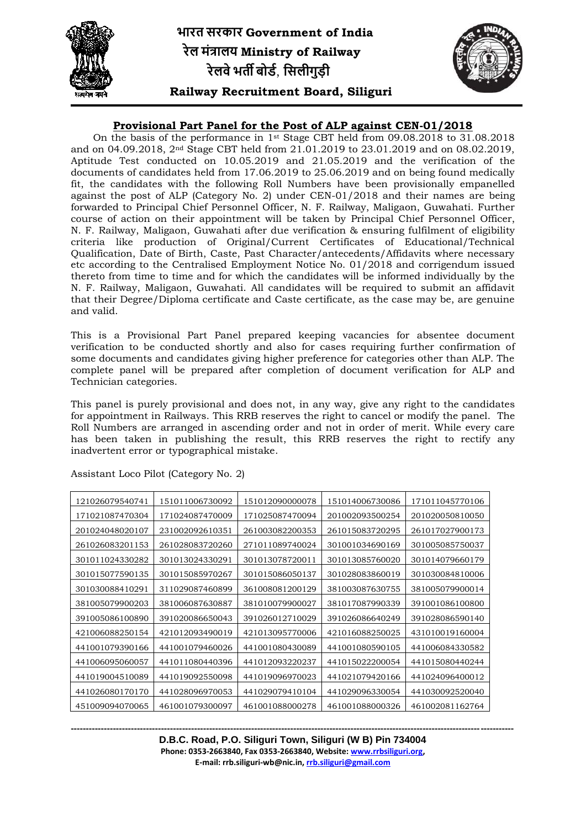

## **Provisional Part Panel for the Post of ALP against CEN-01/2018**

On the basis of the performance in 1st Stage CBT held from 09.08.2018 to 31.08.2018 and on 04.09.2018, 2nd Stage CBT held from 21.01.2019 to 23.01.2019 and on 08.02.2019, Aptitude Test conducted on 10.05.2019 and 21.05.2019 and the verification of the documents of candidates held from 17.06.2019 to 25.06.2019 and on being found medically fit, the candidates with the following Roll Numbers have been provisionally empanelled against the post of ALP (Category No. 2) under CEN-01/2018 and their names are being forwarded to Principal Chief Personnel Officer, N. F. Railway, Maligaon, Guwahati. Further course of action on their appointment will be taken by Principal Chief Personnel Officer, N. F. Railway, Maligaon, Guwahati after due verification & ensuring fulfilment of eligibility criteria like production of Original/Current Certificates of Educational/Technical Qualification, Date of Birth, Caste, Past Character/antecedents/Affidavits where necessary etc according to the Centralised Employment Notice No. 01/2018 and corrigendum issued thereto from time to time and for which the candidates will be informed individually by the N. F. Railway, Maligaon, Guwahati. All candidates will be required to submit an affidavit that their Degree/Diploma certificate and Caste certificate, as the case may be, are genuine and valid.

This is a Provisional Part Panel prepared keeping vacancies for absentee document verification to be conducted shortly and also for cases requiring further confirmation of some documents and candidates giving higher preference for categories other than ALP. The complete panel will be prepared after completion of document verification for ALP and Technician categories.

This panel is purely provisional and does not, in any way, give any right to the candidates for appointment in Railways. This RRB reserves the right to cancel or modify the panel. The Roll Numbers are arranged in ascending order and not in order of merit. While every care has been taken in publishing the result, this RRB reserves the right to rectify any inadvertent error or typographical mistake.

| 121026079540741 | 151011006730092 | 151012090000078 | 151014006730086 | 171011045770106 |
|-----------------|-----------------|-----------------|-----------------|-----------------|
| 171021087470304 | 171024087470009 | 171025087470094 | 201002093500254 | 201020050810050 |
| 201024048020107 | 231002092610351 | 261003082200353 | 261015083720295 | 261017027900173 |
| 261026083201153 | 261028083720260 | 271011089740024 | 301001034690169 | 301005085750037 |
| 301011024330282 | 301013024330291 | 301013078720011 | 301013085760020 | 301014079660179 |
| 301015077590135 | 301015085970267 | 301015086050137 | 301028083860019 | 301030084810006 |
| 301030088410291 | 311029087460899 | 361008081200129 | 381003087630755 | 381005079900014 |
| 381005079900203 | 381006087630887 | 381010079900027 | 381017087990339 | 391001086100800 |
| 391005086100890 | 391020086650043 | 391026012710029 | 391026086640249 | 391028086590140 |
| 421006088250154 | 421012093490019 | 421013095770006 | 421016088250025 | 431010019160004 |
| 441001079390166 | 441001079460026 | 441001080430089 | 441001080590105 | 441006084330582 |
| 441006095060057 | 441011080440396 | 441012093220237 | 441015022200054 | 441015080440244 |
| 441019004510089 | 441019092550098 | 441019096970023 | 441021079420166 | 441024096400012 |
| 441026080170170 | 441028096970053 | 441029079410104 | 441029096330054 | 441030092520040 |
| 451009094070065 | 461001079300097 | 461001088000278 | 461001088000326 | 461002081162764 |

Assistant Loco Pilot (Category No. 2)